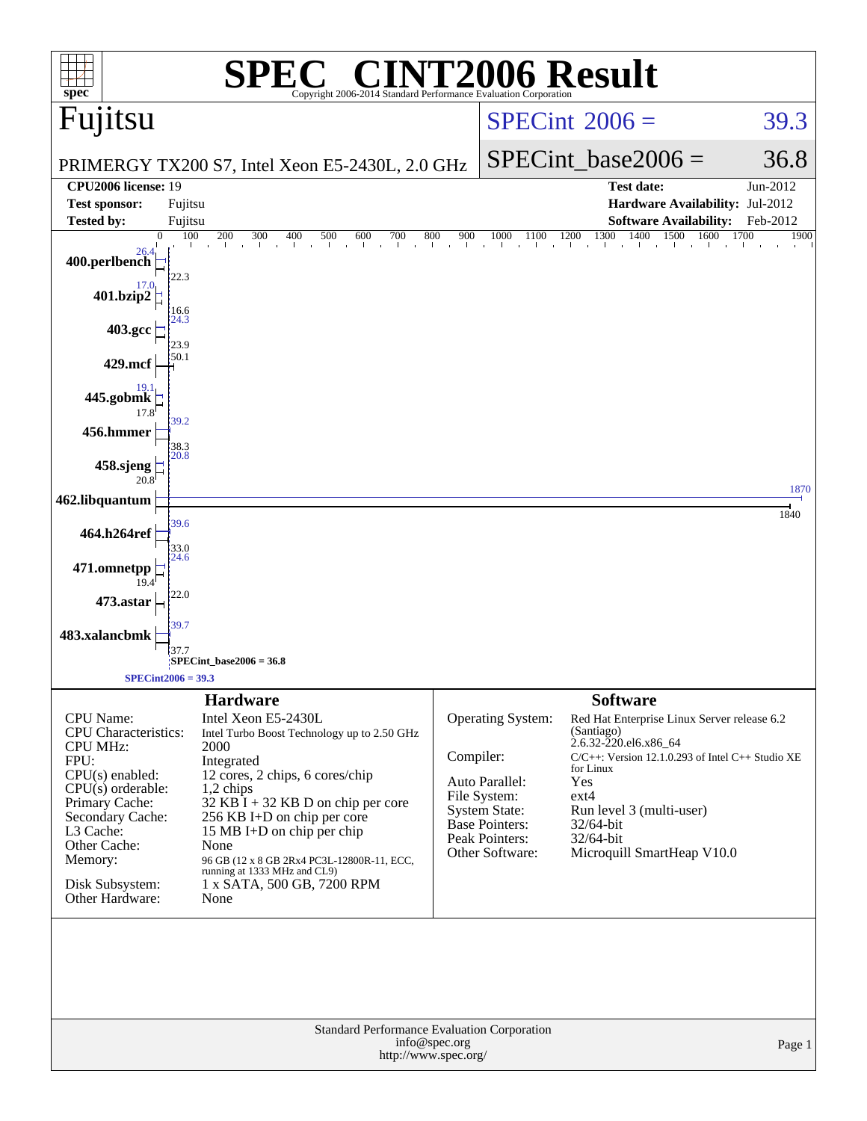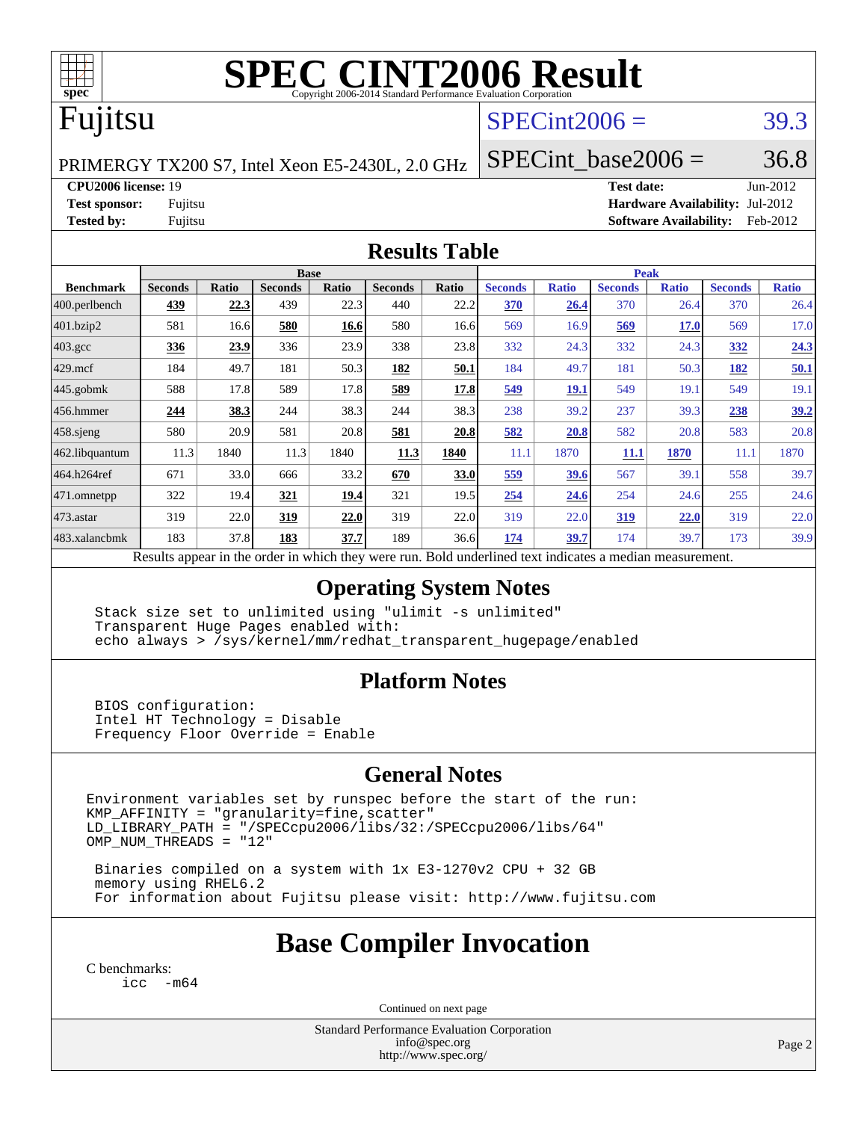

# **[SPEC CINT2006 Result](http://www.spec.org/auto/cpu2006/Docs/result-fields.html#SPECCINT2006Result)**

# Fujitsu

### $SPECint2006 = 39.3$  $SPECint2006 = 39.3$

PRIMERGY TX200 S7, Intel Xeon E5-2430L, 2.0 GHz

SPECint base2006 =  $36.8$ 

**[CPU2006 license:](http://www.spec.org/auto/cpu2006/Docs/result-fields.html#CPU2006license)** 19 **[Test date:](http://www.spec.org/auto/cpu2006/Docs/result-fields.html#Testdate)** Jun-2012

**[Test sponsor:](http://www.spec.org/auto/cpu2006/Docs/result-fields.html#Testsponsor)** Fujitsu **[Hardware Availability:](http://www.spec.org/auto/cpu2006/Docs/result-fields.html#HardwareAvailability)** Jul-2012 **[Tested by:](http://www.spec.org/auto/cpu2006/Docs/result-fields.html#Testedby)** Fujitsu **[Software Availability:](http://www.spec.org/auto/cpu2006/Docs/result-fields.html#SoftwareAvailability)** Feb-2012

#### **[Results Table](http://www.spec.org/auto/cpu2006/Docs/result-fields.html#ResultsTable)**

|                    | <b>Base</b>                                                                                              |       |                |       |                |              |                | <b>Peak</b>  |                |              |                |              |  |
|--------------------|----------------------------------------------------------------------------------------------------------|-------|----------------|-------|----------------|--------------|----------------|--------------|----------------|--------------|----------------|--------------|--|
| <b>Benchmark</b>   | <b>Seconds</b>                                                                                           | Ratio | <b>Seconds</b> | Ratio | <b>Seconds</b> | <b>Ratio</b> | <b>Seconds</b> | <b>Ratio</b> | <b>Seconds</b> | <b>Ratio</b> | <b>Seconds</b> | <b>Ratio</b> |  |
| 400.perlbench      | 439                                                                                                      | 22.3  | 439            | 22.3  | 440            | 22.2         | 370            | 26.4         | 370            | 26.4         | 370            | 26.4         |  |
| 401.bzip2          | 581                                                                                                      | 16.6  | 580            | 16.6  | 580            | 16.6         | 569            | 16.9         | 569            | <b>17.0</b>  | 569            | 17.0         |  |
| $403.\mathrm{gcc}$ | 336                                                                                                      | 23.9  | 336            | 23.9  | 338            | 23.8         | 332            | 24.3         | 332            | 24.3         | 332            | 24.3         |  |
| $429$ .mcf         | 184                                                                                                      | 49.7  | 181            | 50.3  | 182            | 50.1         | 184            | 49.7         | 181            | 50.3         | 182            | 50.1         |  |
| $445$ .gobmk       | 588                                                                                                      | 17.8  | 589            | 17.8  | 589            | 17.8         | 549            | <b>19.1</b>  | 549            | 19.1         | 549            | 19.1         |  |
| $456.$ hmmer       | 244                                                                                                      | 38.3  | 244            | 38.3  | 244            | 38.3         | 238            | 39.2         | 237            | 39.3         | 238            | 39.2         |  |
| $458$ .sjeng       | 580                                                                                                      | 20.9  | 581            | 20.8  | 581            | 20.8         | 582            | 20.8         | 582            | 20.8         | 583            | 20.8         |  |
| 462.libquantum     | 11.3                                                                                                     | 1840  | 11.3           | 1840  | 11.3           | 1840         | 11.1           | 1870         | 11.1           | 1870         | 11.1           | 1870         |  |
| 464.h264ref        | 671                                                                                                      | 33.0  | 666            | 33.2  | 670            | 33.0         | 559            | 39.6         | 567            | 39.1         | 558            | 39.7         |  |
| $ 471$ .omnetpp    | 322                                                                                                      | 19.4  | 321            | 19.4  | 321            | 19.5         | 254            | 24.6         | 254            | 24.6         | 255            | 24.6         |  |
| 473.astar          | 319                                                                                                      | 22.0  | 319            | 22.0  | 319            | 22.0         | 319            | 22.0         | <u>319</u>     | 22.0         | 319            | 22.0         |  |
| 483.xalancbmk      | 183                                                                                                      | 37.8  | 183            | 37.7  | 189            | 36.6         | 174            | 39.7         | 174            | 39.7         | 173            | 39.9         |  |
|                    | Results appear in the order in which they were run. Bold underlined text indicates a median measurement. |       |                |       |                |              |                |              |                |              |                |              |  |

### **[Operating System Notes](http://www.spec.org/auto/cpu2006/Docs/result-fields.html#OperatingSystemNotes)**

 Stack size set to unlimited using "ulimit -s unlimited" Transparent Huge Pages enabled with: echo always > /sys/kernel/mm/redhat\_transparent\_hugepage/enabled

### **[Platform Notes](http://www.spec.org/auto/cpu2006/Docs/result-fields.html#PlatformNotes)**

 BIOS configuration: Intel HT Technology = Disable Frequency Floor Override = Enable

### **[General Notes](http://www.spec.org/auto/cpu2006/Docs/result-fields.html#GeneralNotes)**

Environment variables set by runspec before the start of the run:  $KMP_A$ FFINITY = "granularity=fine, scatter" LD\_LIBRARY\_PATH = "/SPECcpu2006/libs/32:/SPECcpu2006/libs/64" OMP\_NUM\_THREADS = "12"

 Binaries compiled on a system with 1x E3-1270v2 CPU + 32 GB memory using RHEL6.2 For information about Fujitsu please visit: <http://www.fujitsu.com>

# **[Base Compiler Invocation](http://www.spec.org/auto/cpu2006/Docs/result-fields.html#BaseCompilerInvocation)**

[C benchmarks](http://www.spec.org/auto/cpu2006/Docs/result-fields.html#Cbenchmarks): [icc -m64](http://www.spec.org/cpu2006/results/res2012q3/cpu2006-20120810-24130.flags.html#user_CCbase_intel_icc_64bit_f346026e86af2a669e726fe758c88044)

Continued on next page

Standard Performance Evaluation Corporation [info@spec.org](mailto:info@spec.org) <http://www.spec.org/>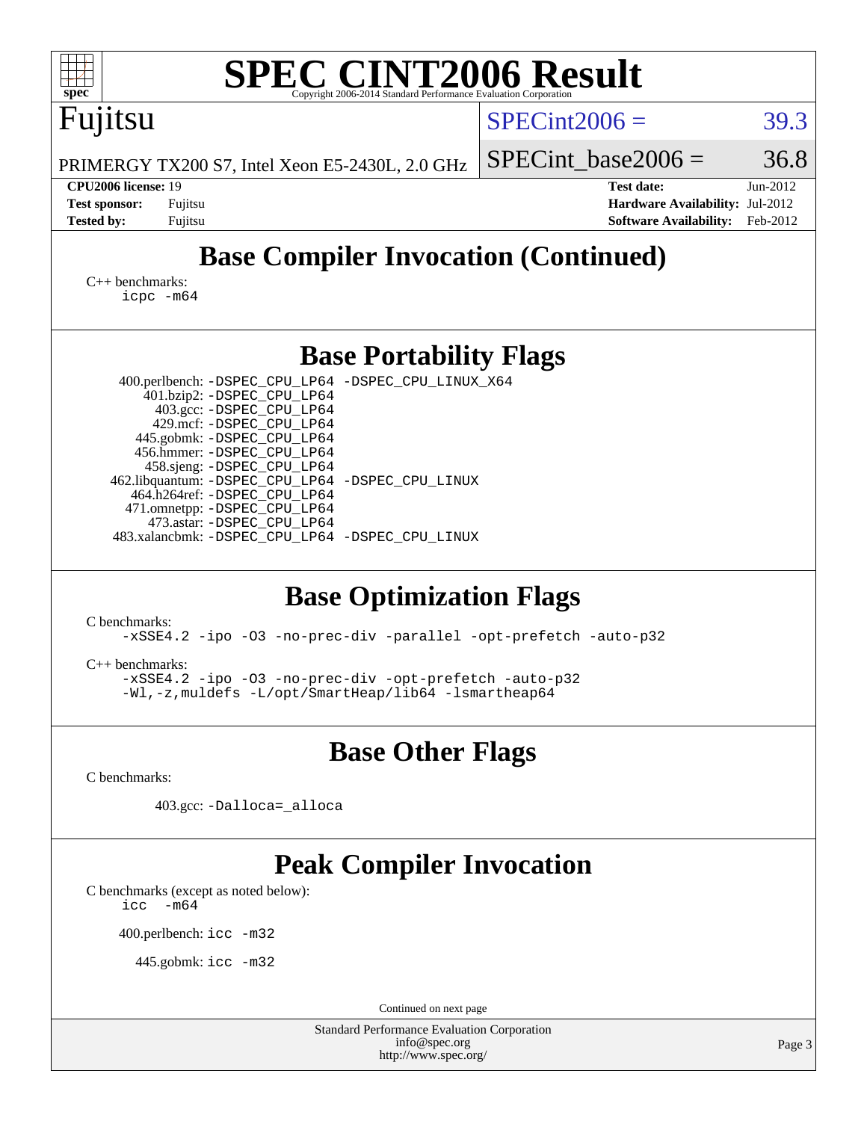| <b>SPEC CINT2006 Result</b><br>spec <sup>®</sup><br>Copyright 2006-2014 Standard Performance Evaluation Corporation                                                                                                                                                                                                                                                                                                                                                                                                                                                                                                                                                                                          |                                                                                                               |        |  |  |  |  |  |
|--------------------------------------------------------------------------------------------------------------------------------------------------------------------------------------------------------------------------------------------------------------------------------------------------------------------------------------------------------------------------------------------------------------------------------------------------------------------------------------------------------------------------------------------------------------------------------------------------------------------------------------------------------------------------------------------------------------|---------------------------------------------------------------------------------------------------------------|--------|--|--|--|--|--|
| Fujitsu                                                                                                                                                                                                                                                                                                                                                                                                                                                                                                                                                                                                                                                                                                      | $SPECint2006 =$                                                                                               | 39.3   |  |  |  |  |  |
| PRIMERGY TX200 S7, Intel Xeon E5-2430L, 2.0 GHz                                                                                                                                                                                                                                                                                                                                                                                                                                                                                                                                                                                                                                                              | $SPECint base2006 =$                                                                                          | 36.8   |  |  |  |  |  |
| CPU2006 license: 19<br><b>Test sponsor:</b><br>Fujitsu<br><b>Tested by:</b><br>Fujitsu                                                                                                                                                                                                                                                                                                                                                                                                                                                                                                                                                                                                                       | Jun-2012<br><b>Test date:</b><br>Hardware Availability: Jul-2012<br><b>Software Availability:</b><br>Feb-2012 |        |  |  |  |  |  |
| <b>Base Compiler Invocation (Continued)</b>                                                                                                                                                                                                                                                                                                                                                                                                                                                                                                                                                                                                                                                                  |                                                                                                               |        |  |  |  |  |  |
| $C_{++}$ benchmarks:<br>$icpc$ $-m64$                                                                                                                                                                                                                                                                                                                                                                                                                                                                                                                                                                                                                                                                        |                                                                                                               |        |  |  |  |  |  |
| <b>Base Portability Flags</b>                                                                                                                                                                                                                                                                                                                                                                                                                                                                                                                                                                                                                                                                                |                                                                                                               |        |  |  |  |  |  |
| 400.perlbench: -DSPEC_CPU_LP64 -DSPEC_CPU_LINUX_X64<br>401.bzip2: -DSPEC_CPU_LP64<br>403.gcc: -DSPEC_CPU_LP64<br>429.mcf: -DSPEC_CPU_LP64<br>445.gobmk: -DSPEC_CPU_LP64<br>456.hmmer: -DSPEC_CPU_LP64<br>458.sjeng: -DSPEC_CPU_LP64<br>462.libquantum: - DSPEC_CPU_LP64 - DSPEC_CPU_LINUX<br>464.h264ref: -DSPEC_CPU_LP64<br>471.omnetpp: - DSPEC_CPU_LP64<br>473.astar: -DSPEC_CPU_LP64<br>483.xalancbmk: -DSPEC_CPU_LP64 -DSPEC_CPU_LINUX<br><b>Base Optimization Flags</b><br>C benchmarks:<br>-xSSE4.2 -ipo -03 -no-prec-div -parallel -opt-prefetch -auto-p32<br>$C_{++}$ benchmarks:<br>-xSSE4.2 -ipo -03 -no-prec-div -opt-prefetch -auto-p32<br>-Wl,-z, muldefs -L/opt/SmartHeap/lib64 -lsmartheap64 |                                                                                                               |        |  |  |  |  |  |
| <b>Base Other Flags</b>                                                                                                                                                                                                                                                                                                                                                                                                                                                                                                                                                                                                                                                                                      |                                                                                                               |        |  |  |  |  |  |
| C benchmarks:                                                                                                                                                                                                                                                                                                                                                                                                                                                                                                                                                                                                                                                                                                |                                                                                                               |        |  |  |  |  |  |
| 403.gcc: -Dalloca=_alloca                                                                                                                                                                                                                                                                                                                                                                                                                                                                                                                                                                                                                                                                                    |                                                                                                               |        |  |  |  |  |  |
| <b>Peak Compiler Invocation</b><br>C benchmarks (except as noted below):<br>$-m64$<br>icc<br>400.perlbench: icc -m32<br>445.gobmk: icc -m32                                                                                                                                                                                                                                                                                                                                                                                                                                                                                                                                                                  |                                                                                                               |        |  |  |  |  |  |
| Continued on next page<br><b>Standard Performance Evaluation Corporation</b>                                                                                                                                                                                                                                                                                                                                                                                                                                                                                                                                                                                                                                 |                                                                                                               |        |  |  |  |  |  |
| info@spec.org<br>http://www.spec.org/                                                                                                                                                                                                                                                                                                                                                                                                                                                                                                                                                                                                                                                                        |                                                                                                               | Page 3 |  |  |  |  |  |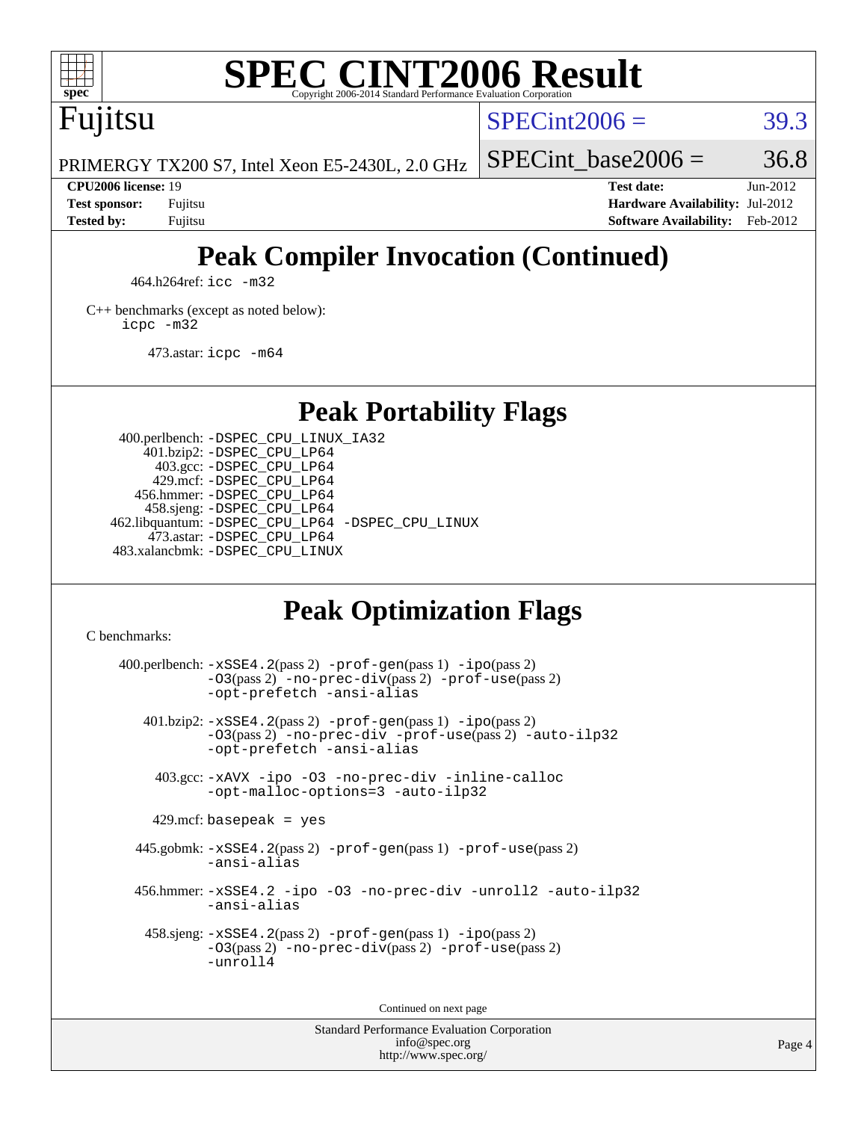

# **[SPEC CINT2006 Result](http://www.spec.org/auto/cpu2006/Docs/result-fields.html#SPECCINT2006Result)**

Fujitsu

 $SPECint2006 = 39.3$  $SPECint2006 = 39.3$ 

SPECint base2006 =  $36.8$ 

PRIMERGY TX200 S7, Intel Xeon E5-2430L, 2.0 GHz

**[Tested by:](http://www.spec.org/auto/cpu2006/Docs/result-fields.html#Testedby)** Fujitsu **[Software Availability:](http://www.spec.org/auto/cpu2006/Docs/result-fields.html#SoftwareAvailability)** Feb-2012

**[CPU2006 license:](http://www.spec.org/auto/cpu2006/Docs/result-fields.html#CPU2006license)** 19 **[Test date:](http://www.spec.org/auto/cpu2006/Docs/result-fields.html#Testdate)** Jun-2012 **[Test sponsor:](http://www.spec.org/auto/cpu2006/Docs/result-fields.html#Testsponsor)** Fujitsu **[Hardware Availability:](http://www.spec.org/auto/cpu2006/Docs/result-fields.html#HardwareAvailability)** Jul-2012

# **[Peak Compiler Invocation \(Continued\)](http://www.spec.org/auto/cpu2006/Docs/result-fields.html#PeakCompilerInvocation)**

464.h264ref: [icc -m32](http://www.spec.org/cpu2006/results/res2012q3/cpu2006-20120810-24130.flags.html#user_peakCCLD464_h264ref_intel_icc_a6a621f8d50482236b970c6ac5f55f93)

[C++ benchmarks \(except as noted below\):](http://www.spec.org/auto/cpu2006/Docs/result-fields.html#CXXbenchmarksexceptasnotedbelow) [icpc -m32](http://www.spec.org/cpu2006/results/res2012q3/cpu2006-20120810-24130.flags.html#user_CXXpeak_intel_icpc_4e5a5ef1a53fd332b3c49e69c3330699)

473.astar: [icpc -m64](http://www.spec.org/cpu2006/results/res2012q3/cpu2006-20120810-24130.flags.html#user_peakCXXLD473_astar_intel_icpc_64bit_fc66a5337ce925472a5c54ad6a0de310)

**[Peak Portability Flags](http://www.spec.org/auto/cpu2006/Docs/result-fields.html#PeakPortabilityFlags)**

 400.perlbench: [-DSPEC\\_CPU\\_LINUX\\_IA32](http://www.spec.org/cpu2006/results/res2012q3/cpu2006-20120810-24130.flags.html#b400.perlbench_peakCPORTABILITY_DSPEC_CPU_LINUX_IA32) 401.bzip2: [-DSPEC\\_CPU\\_LP64](http://www.spec.org/cpu2006/results/res2012q3/cpu2006-20120810-24130.flags.html#suite_peakPORTABILITY401_bzip2_DSPEC_CPU_LP64) 403.gcc: [-DSPEC\\_CPU\\_LP64](http://www.spec.org/cpu2006/results/res2012q3/cpu2006-20120810-24130.flags.html#suite_peakPORTABILITY403_gcc_DSPEC_CPU_LP64) 429.mcf: [-DSPEC\\_CPU\\_LP64](http://www.spec.org/cpu2006/results/res2012q3/cpu2006-20120810-24130.flags.html#suite_peakPORTABILITY429_mcf_DSPEC_CPU_LP64) 456.hmmer: [-DSPEC\\_CPU\\_LP64](http://www.spec.org/cpu2006/results/res2012q3/cpu2006-20120810-24130.flags.html#suite_peakPORTABILITY456_hmmer_DSPEC_CPU_LP64) 458.sjeng: [-DSPEC\\_CPU\\_LP64](http://www.spec.org/cpu2006/results/res2012q3/cpu2006-20120810-24130.flags.html#suite_peakPORTABILITY458_sjeng_DSPEC_CPU_LP64) 462.libquantum: [-DSPEC\\_CPU\\_LP64](http://www.spec.org/cpu2006/results/res2012q3/cpu2006-20120810-24130.flags.html#suite_peakPORTABILITY462_libquantum_DSPEC_CPU_LP64) [-DSPEC\\_CPU\\_LINUX](http://www.spec.org/cpu2006/results/res2012q3/cpu2006-20120810-24130.flags.html#b462.libquantum_peakCPORTABILITY_DSPEC_CPU_LINUX) 473.astar: [-DSPEC\\_CPU\\_LP64](http://www.spec.org/cpu2006/results/res2012q3/cpu2006-20120810-24130.flags.html#suite_peakPORTABILITY473_astar_DSPEC_CPU_LP64) 483.xalancbmk: [-DSPEC\\_CPU\\_LINUX](http://www.spec.org/cpu2006/results/res2012q3/cpu2006-20120810-24130.flags.html#b483.xalancbmk_peakCXXPORTABILITY_DSPEC_CPU_LINUX)

# **[Peak Optimization Flags](http://www.spec.org/auto/cpu2006/Docs/result-fields.html#PeakOptimizationFlags)**

[C benchmarks](http://www.spec.org/auto/cpu2006/Docs/result-fields.html#Cbenchmarks):

 $400.$ perlbench:  $-xSSE4$ .  $2(pass 2)$  -prof-qen(pass 1) [-ipo](http://www.spec.org/cpu2006/results/res2012q3/cpu2006-20120810-24130.flags.html#user_peakPASS2_CFLAGSPASS2_LDCFLAGS400_perlbench_f-ipo)(pass 2) [-O3](http://www.spec.org/cpu2006/results/res2012q3/cpu2006-20120810-24130.flags.html#user_peakPASS2_CFLAGSPASS2_LDCFLAGS400_perlbench_f-O3)(pass 2) [-no-prec-div](http://www.spec.org/cpu2006/results/res2012q3/cpu2006-20120810-24130.flags.html#user_peakPASS2_CFLAGSPASS2_LDCFLAGS400_perlbench_f-no-prec-div)(pass 2) [-prof-use](http://www.spec.org/cpu2006/results/res2012q3/cpu2006-20120810-24130.flags.html#user_peakPASS2_CFLAGSPASS2_LDCFLAGS400_perlbench_prof_use_bccf7792157ff70d64e32fe3e1250b55)(pass 2) [-opt-prefetch](http://www.spec.org/cpu2006/results/res2012q3/cpu2006-20120810-24130.flags.html#user_peakCOPTIMIZE400_perlbench_f-opt-prefetch) [-ansi-alias](http://www.spec.org/cpu2006/results/res2012q3/cpu2006-20120810-24130.flags.html#user_peakCOPTIMIZE400_perlbench_f-ansi-alias) 401.bzip2: [-xSSE4.2](http://www.spec.org/cpu2006/results/res2012q3/cpu2006-20120810-24130.flags.html#user_peakPASS2_CFLAGSPASS2_LDCFLAGS401_bzip2_f-xSSE42_f91528193cf0b216347adb8b939d4107)(pass 2) [-prof-gen](http://www.spec.org/cpu2006/results/res2012q3/cpu2006-20120810-24130.flags.html#user_peakPASS1_CFLAGSPASS1_LDCFLAGS401_bzip2_prof_gen_e43856698f6ca7b7e442dfd80e94a8fc)(pass 1) [-ipo](http://www.spec.org/cpu2006/results/res2012q3/cpu2006-20120810-24130.flags.html#user_peakPASS2_CFLAGSPASS2_LDCFLAGS401_bzip2_f-ipo)(pass 2) [-O3](http://www.spec.org/cpu2006/results/res2012q3/cpu2006-20120810-24130.flags.html#user_peakPASS2_CFLAGSPASS2_LDCFLAGS401_bzip2_f-O3)(pass 2) [-no-prec-div](http://www.spec.org/cpu2006/results/res2012q3/cpu2006-20120810-24130.flags.html#user_peakCOPTIMIZEPASS2_CFLAGSPASS2_LDCFLAGS401_bzip2_f-no-prec-div) [-prof-use](http://www.spec.org/cpu2006/results/res2012q3/cpu2006-20120810-24130.flags.html#user_peakPASS2_CFLAGSPASS2_LDCFLAGS401_bzip2_prof_use_bccf7792157ff70d64e32fe3e1250b55)(pass 2) [-auto-ilp32](http://www.spec.org/cpu2006/results/res2012q3/cpu2006-20120810-24130.flags.html#user_peakCOPTIMIZE401_bzip2_f-auto-ilp32) [-opt-prefetch](http://www.spec.org/cpu2006/results/res2012q3/cpu2006-20120810-24130.flags.html#user_peakCOPTIMIZE401_bzip2_f-opt-prefetch) [-ansi-alias](http://www.spec.org/cpu2006/results/res2012q3/cpu2006-20120810-24130.flags.html#user_peakCOPTIMIZE401_bzip2_f-ansi-alias) 403.gcc: [-xAVX](http://www.spec.org/cpu2006/results/res2012q3/cpu2006-20120810-24130.flags.html#user_peakCOPTIMIZE403_gcc_f-xAVX) [-ipo](http://www.spec.org/cpu2006/results/res2012q3/cpu2006-20120810-24130.flags.html#user_peakCOPTIMIZE403_gcc_f-ipo) [-O3](http://www.spec.org/cpu2006/results/res2012q3/cpu2006-20120810-24130.flags.html#user_peakCOPTIMIZE403_gcc_f-O3) [-no-prec-div](http://www.spec.org/cpu2006/results/res2012q3/cpu2006-20120810-24130.flags.html#user_peakCOPTIMIZE403_gcc_f-no-prec-div) [-inline-calloc](http://www.spec.org/cpu2006/results/res2012q3/cpu2006-20120810-24130.flags.html#user_peakCOPTIMIZE403_gcc_f-inline-calloc) [-opt-malloc-options=3](http://www.spec.org/cpu2006/results/res2012q3/cpu2006-20120810-24130.flags.html#user_peakCOPTIMIZE403_gcc_f-opt-malloc-options_13ab9b803cf986b4ee62f0a5998c2238) [-auto-ilp32](http://www.spec.org/cpu2006/results/res2012q3/cpu2006-20120810-24130.flags.html#user_peakCOPTIMIZE403_gcc_f-auto-ilp32)  $429$ .mcf: basepeak = yes 445.gobmk: [-xSSE4.2](http://www.spec.org/cpu2006/results/res2012q3/cpu2006-20120810-24130.flags.html#user_peakPASS2_CFLAGSPASS2_LDCFLAGS445_gobmk_f-xSSE42_f91528193cf0b216347adb8b939d4107)(pass 2) [-prof-gen](http://www.spec.org/cpu2006/results/res2012q3/cpu2006-20120810-24130.flags.html#user_peakPASS1_CFLAGSPASS1_LDCFLAGS445_gobmk_prof_gen_e43856698f6ca7b7e442dfd80e94a8fc)(pass 1) [-prof-use](http://www.spec.org/cpu2006/results/res2012q3/cpu2006-20120810-24130.flags.html#user_peakPASS2_CFLAGSPASS2_LDCFLAGS445_gobmk_prof_use_bccf7792157ff70d64e32fe3e1250b55)(pass 2) [-ansi-alias](http://www.spec.org/cpu2006/results/res2012q3/cpu2006-20120810-24130.flags.html#user_peakCOPTIMIZE445_gobmk_f-ansi-alias) 456.hmmer: [-xSSE4.2](http://www.spec.org/cpu2006/results/res2012q3/cpu2006-20120810-24130.flags.html#user_peakCOPTIMIZE456_hmmer_f-xSSE42_f91528193cf0b216347adb8b939d4107) [-ipo](http://www.spec.org/cpu2006/results/res2012q3/cpu2006-20120810-24130.flags.html#user_peakCOPTIMIZE456_hmmer_f-ipo) [-O3](http://www.spec.org/cpu2006/results/res2012q3/cpu2006-20120810-24130.flags.html#user_peakCOPTIMIZE456_hmmer_f-O3) [-no-prec-div](http://www.spec.org/cpu2006/results/res2012q3/cpu2006-20120810-24130.flags.html#user_peakCOPTIMIZE456_hmmer_f-no-prec-div) [-unroll2](http://www.spec.org/cpu2006/results/res2012q3/cpu2006-20120810-24130.flags.html#user_peakCOPTIMIZE456_hmmer_f-unroll_784dae83bebfb236979b41d2422d7ec2) [-auto-ilp32](http://www.spec.org/cpu2006/results/res2012q3/cpu2006-20120810-24130.flags.html#user_peakCOPTIMIZE456_hmmer_f-auto-ilp32) [-ansi-alias](http://www.spec.org/cpu2006/results/res2012q3/cpu2006-20120810-24130.flags.html#user_peakCOPTIMIZE456_hmmer_f-ansi-alias) 458.sjeng: [-xSSE4.2](http://www.spec.org/cpu2006/results/res2012q3/cpu2006-20120810-24130.flags.html#user_peakPASS2_CFLAGSPASS2_LDCFLAGS458_sjeng_f-xSSE42_f91528193cf0b216347adb8b939d4107)(pass 2) [-prof-gen](http://www.spec.org/cpu2006/results/res2012q3/cpu2006-20120810-24130.flags.html#user_peakPASS1_CFLAGSPASS1_LDCFLAGS458_sjeng_prof_gen_e43856698f6ca7b7e442dfd80e94a8fc)(pass 1) [-ipo](http://www.spec.org/cpu2006/results/res2012q3/cpu2006-20120810-24130.flags.html#user_peakPASS2_CFLAGSPASS2_LDCFLAGS458_sjeng_f-ipo)(pass 2) [-O3](http://www.spec.org/cpu2006/results/res2012q3/cpu2006-20120810-24130.flags.html#user_peakPASS2_CFLAGSPASS2_LDCFLAGS458_sjeng_f-O3)(pass 2) [-no-prec-div](http://www.spec.org/cpu2006/results/res2012q3/cpu2006-20120810-24130.flags.html#user_peakPASS2_CFLAGSPASS2_LDCFLAGS458_sjeng_f-no-prec-div)(pass 2) [-prof-use](http://www.spec.org/cpu2006/results/res2012q3/cpu2006-20120810-24130.flags.html#user_peakPASS2_CFLAGSPASS2_LDCFLAGS458_sjeng_prof_use_bccf7792157ff70d64e32fe3e1250b55)(pass 2) [-unroll4](http://www.spec.org/cpu2006/results/res2012q3/cpu2006-20120810-24130.flags.html#user_peakCOPTIMIZE458_sjeng_f-unroll_4e5e4ed65b7fd20bdcd365bec371b81f)

Continued on next page

Standard Performance Evaluation Corporation [info@spec.org](mailto:info@spec.org) <http://www.spec.org/>